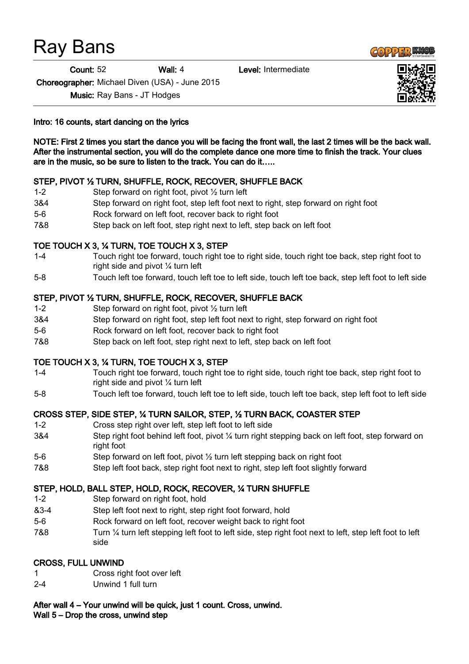# Ray Bans

Count: 52 Wall: 4 Level: Intermediate

Choreographer: Michael Diven (USA) - June 2015

Music: Ray Bans - JT Hodges

Intro: 16 counts, start dancing on the lyrics

NOTE: First 2 times you start the dance you will be facing the front wall, the last 2 times will be the back wall. After the instrumental section, you will do the complete dance one more time to finish the track. Your clues are in the music, so be sure to listen to the track. You can do it…..

# STEP, PIVOT ½ TURN, SHUFFLE, ROCK, RECOVER, SHUFFLE BACK

- 1-2 Step forward on right foot, pivot ½ turn left
- 3&4 Step forward on right foot, step left foot next to right, step forward on right foot
- 5-6 Rock forward on left foot, recover back to right foot
- 7&8 Step back on left foot, step right next to left, step back on left foot

# TOE TOUCH X 3, ¼ TURN, TOE TOUCH X 3, STEP

- 1-4 Touch right toe forward, touch right toe to right side, touch right toe back, step right foot to right side and pivot ¼ turn left
- 5-8 Touch left toe forward, touch left toe to left side, touch left toe back, step left foot to left side

#### STEP, PIVOT ½ TURN, SHUFFLE, ROCK, RECOVER, SHUFFLE BACK

- 1-2 Step forward on right foot, pivot ½ turn left
- 3&4 Step forward on right foot, step left foot next to right, step forward on right foot
- 5-6 Rock forward on left foot, recover back to right foot
- 7&8 Step back on left foot, step right next to left, step back on left foot

#### TOE TOUCH X 3, ¼ TURN, TOE TOUCH X 3, STEP

- 1-4 Touch right toe forward, touch right toe to right side, touch right toe back, step right foot to right side and pivot ¼ turn left
- 5-8 Touch left toe forward, touch left toe to left side, touch left toe back, step left foot to left side

#### CROSS STEP, SIDE STEP, ¼ TURN SAILOR, STEP, ½ TURN BACK, COASTER STEP

- 1-2 Cross step right over left, step left foot to left side
- 3&4 Step right foot behind left foot, pivot ¼ turn right stepping back on left foot, step forward on right foot
- 5-6 Step forward on left foot, pivot ½ turn left stepping back on right foot
- 7&8 Step left foot back, step right foot next to right, step left foot slightly forward

#### STEP, HOLD, BALL STEP, HOLD, ROCK, RECOVER, ¼ TURN SHUFFLE

- 1-2 Step forward on right foot, hold
- &3-4 Step left foot next to right, step right foot forward, hold
- 5-6 Rock forward on left foot, recover weight back to right foot
- 7&8 Turn ¼ turn left stepping left foot to left side, step right foot next to left, step left foot to left side

#### CROSS, FULL UNWIND

- 1 Cross right foot over left
- 2-4 Unwind 1 full turn

#### After wall 4 – Your unwind will be quick, just 1 count. Cross, unwind.

Wall 5 – Drop the cross, unwind step